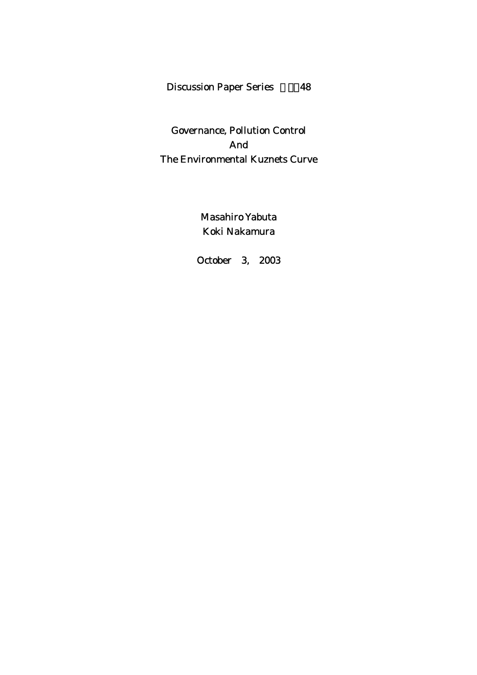# Discussion Paper Series 48

# Governance, Pollution Control And The Environmental Kuznets Curve

Masahiro Yabuta Koki Nakamura

October 3, 2003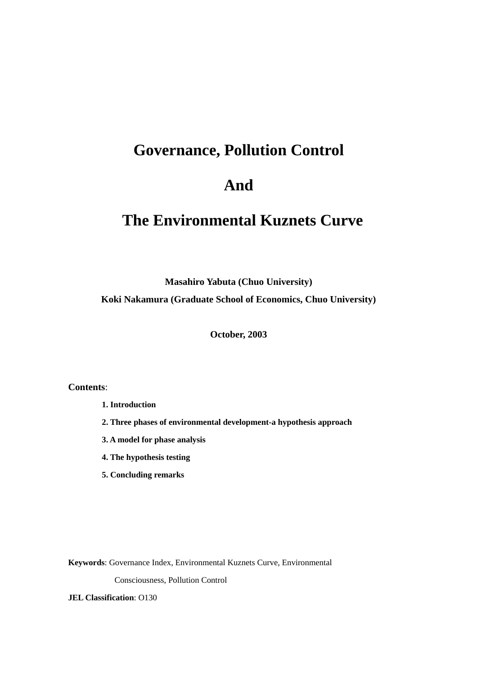# **Governance, Pollution Control**

# **And**

# **The Environmental Kuznets Curve**

**Masahiro Yabuta (Chuo University)** 

**Koki Nakamura (Graduate School of Economics, Chuo University)** 

**October, 2003** 

**Contents**:

**1. Introduction** 

- **2. Three phases of environmental development-a hypothesis approach**
- **3. A model for phase analysis**
- **4. The hypothesis testing**
- **5. Concluding remarks**

**Keywords**: Governance Index, Environmental Kuznets Curve, Environmental

Consciousness, Pollution Control

**JEL Classification**: O130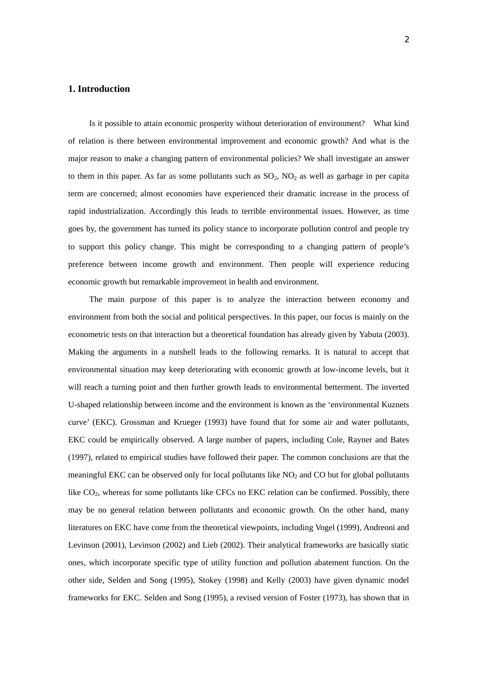### **1. Introduction**

 Is it possible to attain economic prosperity without deterioration of environment? What kind of relation is there between environmental improvement and economic growth? And what is the major reason to make a changing pattern of environmental policies? We shall investigate an answer to them in this paper. As far as some pollutants such as  $SO_2$ ,  $NO_2$  as well as garbage in per capita term are concerned; almost economies have experienced their dramatic increase in the process of rapid industrialization. Accordingly this leads to terrible environmental issues. However, as time goes by, the government has turned its policy stance to incorporate pollution control and people try to support this policy change. This might be corresponding to a changing pattern of people's preference between income growth and environment. Then people will experience reducing economic growth but remarkable improvement in health and environment.

The main purpose of this paper is to analyze the interaction between economy and environment from both the social and political perspectives. In this paper, our focus is mainly on the econometric tests on that interaction but a theoretical foundation has already given by Yabuta (2003). Making the arguments in a nutshell leads to the following remarks. It is natural to accept that environmental situation may keep deteriorating with economic growth at low-income levels, but it will reach a turning point and then further growth leads to environmental betterment. The inverted U-shaped relationship between income and the environment is known as the 'environmental Kuznets curve' (EKC). Grossman and Krueger (1993) have found that for some air and water pollutants, EKC could be empirically observed. A large number of papers, including Cole, Rayner and Bates (1997), related to empirical studies have followed their paper. The common conclusions are that the meaningful EKC can be observed only for local pollutants like  $NO<sub>2</sub>$  and CO but for global pollutants like CO<sub>2</sub>, whereas for some pollutants like CFCs no EKC relation can be confirmed. Possibly, there may be no general relation between pollutants and economic growth. On the other hand, many literatures on EKC have come from the theoretical viewpoints, including Vogel (1999), Andreoni and Levinson (2001), Levinson (2002) and Lieb (2002). Their analytical frameworks are basically static ones, which incorporate specific type of utility function and pollution abatement function. On the other side, Selden and Song (1995), Stokey (1998) and Kelly (2003) have given dynamic model frameworks for EKC. Selden and Song (1995), a revised version of Foster (1973), has shown that in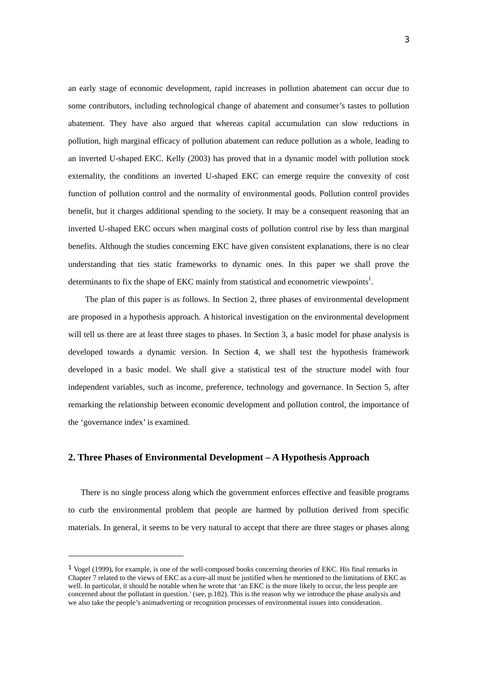an early stage of economic development, rapid increases in pollution abatement can occur due to some contributors, including technological change of abatement and consumer's tastes to pollution abatement. They have also argued that whereas capital accumulation can slow reductions in pollution, high marginal efficacy of pollution abatement can reduce pollution as a whole, leading to an inverted U-shaped EKC. Kelly (2003) has proved that in a dynamic model with pollution stock externality, the conditions an inverted U-shaped EKC can emerge require the convexity of cost function of pollution control and the normality of environmental goods. Pollution control provides benefit, but it charges additional spending to the society. It may be a consequent reasoning that an inverted U-shaped EKC occurs when marginal costs of pollution control rise by less than marginal benefits. Although the studies concerning EKC have given consistent explanations, there is no clear understanding that ties static frameworks to dynamic ones. In this paper we shall prove the determinants to fix the shape of EKC mainly from statistical and econometric viewpoints<sup>1</sup>.

 The plan of this paper is as follows. In Section 2, three phases of environmental development are proposed in a hypothesis approach. A historical investigation on the environmental development will tell us there are at least three stages to phases. In Section 3, a basic model for phase analysis is developed towards a dynamic version. In Section 4, we shall test the hypothesis framework developed in a basic model. We shall give a statistical test of the structure model with four independent variables, such as income, preference, technology and governance. In Section 5, after remarking the relationship between economic development and pollution control, the importance of the 'governance index' is examined.

# **2. Three Phases of Environmental Development – A Hypothesis Approach**

 $\overline{a}$ 

 There is no single process along which the government enforces effective and feasible programs to curb the environmental problem that people are harmed by pollution derived from specific materials. In general, it seems to be very natural to accept that there are three stages or phases along

<sup>1</sup> Vogel (1999), for example, is one of the well-composed books concerning theories of EKC. His final remarks in Chapter 7 related to the views of EKC as a cure-all must be justified when he mentioned to the limitations of EKC as well. In particular, it should be notable when he wrote that 'an EKC is the more likely to occur, the less people are concerned about the pollutant in question.' (see, p.182). This is the reason why we introduce the phase analysis and we also take the people's animadverting or recognition processes of environmental issues into consideration.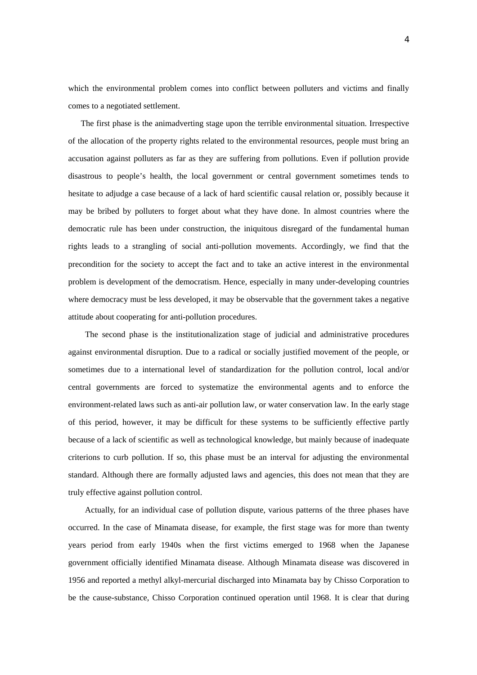which the environmental problem comes into conflict between polluters and victims and finally comes to a negotiated settlement.

 The first phase is the animadverting stage upon the terrible environmental situation. Irrespective of the allocation of the property rights related to the environmental resources, people must bring an accusation against polluters as far as they are suffering from pollutions. Even if pollution provide disastrous to people's health, the local government or central government sometimes tends to hesitate to adjudge a case because of a lack of hard scientific causal relation or, possibly because it may be bribed by polluters to forget about what they have done. In almost countries where the democratic rule has been under construction, the iniquitous disregard of the fundamental human rights leads to a strangling of social anti-pollution movements. Accordingly, we find that the precondition for the society to accept the fact and to take an active interest in the environmental problem is development of the democratism. Hence, especially in many under-developing countries where democracy must be less developed, it may be observable that the government takes a negative attitude about cooperating for anti-pollution procedures.

 The second phase is the institutionalization stage of judicial and administrative procedures against environmental disruption. Due to a radical or socially justified movement of the people, or sometimes due to a international level of standardization for the pollution control, local and/or central governments are forced to systematize the environmental agents and to enforce the environment-related laws such as anti-air pollution law, or water conservation law. In the early stage of this period, however, it may be difficult for these systems to be sufficiently effective partly because of a lack of scientific as well as technological knowledge, but mainly because of inadequate criterions to curb pollution. If so, this phase must be an interval for adjusting the environmental standard. Although there are formally adjusted laws and agencies, this does not mean that they are truly effective against pollution control.

 Actually, for an individual case of pollution dispute, various patterns of the three phases have occurred. In the case of Minamata disease, for example, the first stage was for more than twenty years period from early 1940s when the first victims emerged to 1968 when the Japanese government officially identified Minamata disease. Although Minamata disease was discovered in 1956 and reported a methyl alkyl-mercurial discharged into Minamata bay by Chisso Corporation to be the cause-substance, Chisso Corporation continued operation until 1968. It is clear that during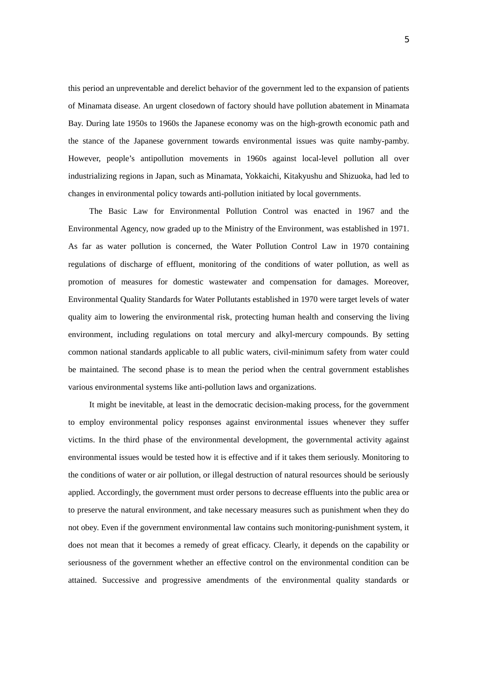this period an unpreventable and derelict behavior of the government led to the expansion of patients of Minamata disease. An urgent closedown of factory should have pollution abatement in Minamata Bay. During late 1950s to 1960s the Japanese economy was on the high-growth economic path and the stance of the Japanese government towards environmental issues was quite namby-pamby. However, people's antipollution movements in 1960s against local-level pollution all over industrializing regions in Japan, such as Minamata, Yokkaichi, Kitakyushu and Shizuoka, had led to changes in environmental policy towards anti-pollution initiated by local governments.

The Basic Law for Environmental Pollution Control was enacted in 1967 and the Environmental Agency, now graded up to the Ministry of the Environment, was established in 1971. As far as water pollution is concerned, the Water Pollution Control Law in 1970 containing regulations of discharge of effluent, monitoring of the conditions of water pollution, as well as promotion of measures for domestic wastewater and compensation for damages. Moreover, Environmental Quality Standards for Water Pollutants established in 1970 were target levels of water quality aim to lowering the environmental risk, protecting human health and conserving the living environment, including regulations on total mercury and alkyl-mercury compounds. By setting common national standards applicable to all public waters, civil-minimum safety from water could be maintained. The second phase is to mean the period when the central government establishes various environmental systems like anti-pollution laws and organizations.

 It might be inevitable, at least in the democratic decision-making process, for the government to employ environmental policy responses against environmental issues whenever they suffer victims. In the third phase of the environmental development, the governmental activity against environmental issues would be tested how it is effective and if it takes them seriously. Monitoring to the conditions of water or air pollution, or illegal destruction of natural resources should be seriously applied. Accordingly, the government must order persons to decrease effluents into the public area or to preserve the natural environment, and take necessary measures such as punishment when they do not obey. Even if the government environmental law contains such monitoring-punishment system, it does not mean that it becomes a remedy of great efficacy. Clearly, it depends on the capability or seriousness of the government whether an effective control on the environmental condition can be attained. Successive and progressive amendments of the environmental quality standards or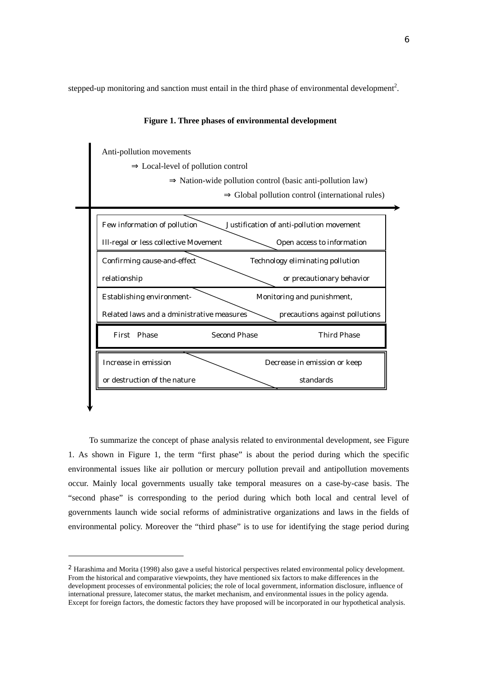stepped-up monitoring and sanction must entail in the third phase of environmental development<sup>2</sup>.



### **Figure 1. Three phases of environmental development**

To summarize the concept of phase analysis related to environmental development, see Figure 1. As shown in Figure 1, the term "first phase" is about the period during which the specific environmental issues like air pollution or mercury pollution prevail and antipollution movements occur. Mainly local governments usually take temporal measures on a case-by-case basis. The "second phase" is corresponding to the period during which both local and central level of governments launch wide social reforms of administrative organizations and laws in the fields of environmental policy. Moreover the "third phase" is to use for identifying the stage period during

 $\overline{a}$ 

<sup>2</sup> Harashima and Morita (1998) also gave a useful historical perspectives related environmental policy development. From the historical and comparative viewpoints, they have mentioned six factors to make differences in the development processes of environmental policies; the role of local government, information disclosure, influence of international pressure, latecomer status, the market mechanism, and environmental issues in the policy agenda. Except for foreign factors, the domestic factors they have proposed will be incorporated in our hypothetical analysis.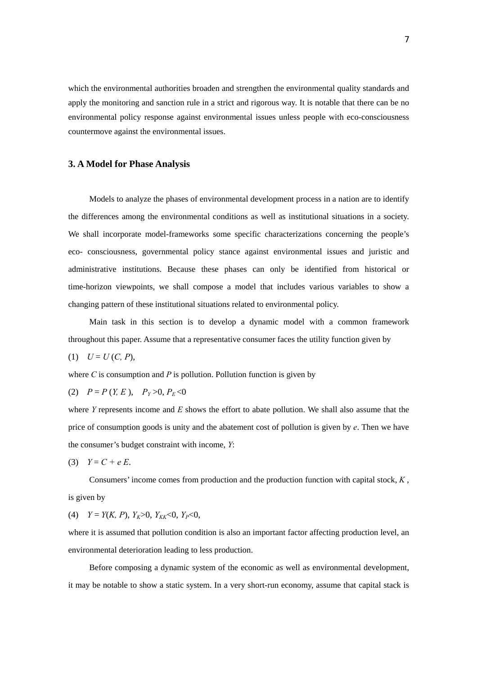which the environmental authorities broaden and strengthen the environmental quality standards and apply the monitoring and sanction rule in a strict and rigorous way. It is notable that there can be no environmental policy response against environmental issues unless people with eco-consciousness countermove against the environmental issues.

# **3. A Model for Phase Analysis**

 Models to analyze the phases of environmental development process in a nation are to identify the differences among the environmental conditions as well as institutional situations in a society. We shall incorporate model-frameworks some specific characterizations concerning the people's eco- consciousness, governmental policy stance against environmental issues and juristic and administrative institutions. Because these phases can only be identified from historical or time-horizon viewpoints, we shall compose a model that includes various variables to show a changing pattern of these institutional situations related to environmental policy.

 Main task in this section is to develop a dynamic model with a common framework throughout this paper. Assume that a representative consumer faces the utility function given by

$$
(1) U = U(C, P),
$$

where  $C$  is consumption and  $P$  is pollution. Pollution function is given by

(2) 
$$
P = P(Y, E)
$$
,  $P_Y > 0$ ,  $P_E < 0$ 

where *Y* represents income and *E* shows the effort to abate pollution. We shall also assume that the price of consumption goods is unity and the abatement cost of pollution is given by *e*. Then we have the consumer's budget constraint with income, *Y*:

$$
(3) \quad Y = C + e E.
$$

Consumers' income comes from production and the production function with capital stock, *K* , is given by

(4)  $Y = Y(K, P), Y_K > 0, Y_{KK} < 0, Y_P < 0,$ 

where it is assumed that pollution condition is also an important factor affecting production level, an environmental deterioration leading to less production.

 Before composing a dynamic system of the economic as well as environmental development, it may be notable to show a static system. In a very short-run economy, assume that capital stack is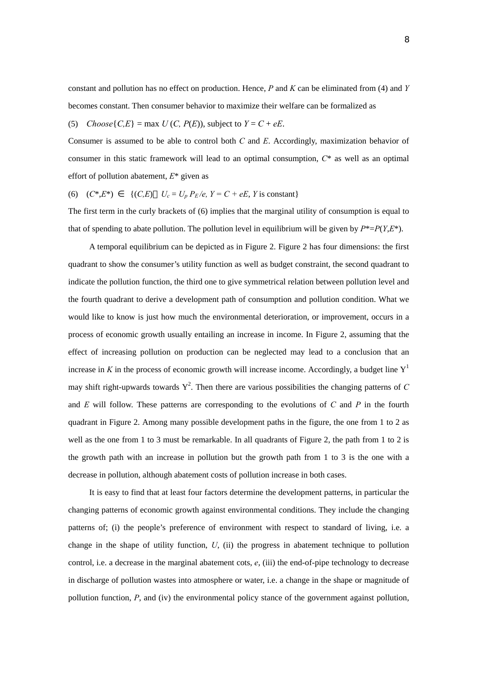constant and pollution has no effect on production. Hence, *P* and *K* can be eliminated from (4) and *Y* becomes constant. Then consumer behavior to maximize their welfare can be formalized as

(5) *Choose* $\{C, E\}$  = max  $U(C, P(E))$ , subject to  $Y = C + eE$ .

Consumer is assumed to be able to control both *C* and *E*. Accordingly, maximization behavior of consumer in this static framework will lead to an optimal consumption, *C*\* as well as an optimal effort of pollution abatement, *E*\* given as

(6)  $(C^*, E^*)$  {(*C,E*)  $U_c = U_p P_E / e$ ,  $Y = C + eE$ , *Y* is constant}

The first term in the curly brackets of (6) implies that the marginal utility of consumption is equal to that of spending to abate pollution. The pollution level in equilibrium will be given by  $P^* = P(Y, E^*)$ .

A temporal equilibrium can be depicted as in Figure 2. Figure 2 has four dimensions: the first quadrant to show the consumer's utility function as well as budget constraint, the second quadrant to indicate the pollution function, the third one to give symmetrical relation between pollution level and the fourth quadrant to derive a development path of consumption and pollution condition. What we would like to know is just how much the environmental deterioration, or improvement, occurs in a process of economic growth usually entailing an increase in income. In Figure 2, assuming that the effect of increasing pollution on production can be neglected may lead to a conclusion that an increase in *K* in the process of economic growth will increase income. Accordingly, a budget line  $Y<sup>1</sup>$ may shift right-upwards towards  $Y^2$ . Then there are various possibilities the changing patterns of C and *E* will follow. These patterns are corresponding to the evolutions of *C* and *P* in the fourth quadrant in Figure 2. Among many possible development paths in the figure, the one from 1 to 2 as well as the one from 1 to 3 must be remarkable. In all quadrants of Figure 2, the path from 1 to 2 is the growth path with an increase in pollution but the growth path from 1 to 3 is the one with a decrease in pollution, although abatement costs of pollution increase in both cases.

It is easy to find that at least four factors determine the development patterns, in particular the changing patterns of economic growth against environmental conditions. They include the changing patterns of; (i) the people's preference of environment with respect to standard of living, i.e. a change in the shape of utility function, *U*, (ii) the progress in abatement technique to pollution control, i.e. a decrease in the marginal abatement cots,  $e$ , (iii) the end-of-pipe technology to decrease in discharge of pollution wastes into atmosphere or water, i.e. a change in the shape or magnitude of pollution function, *P*, and (iv) the environmental policy stance of the government against pollution,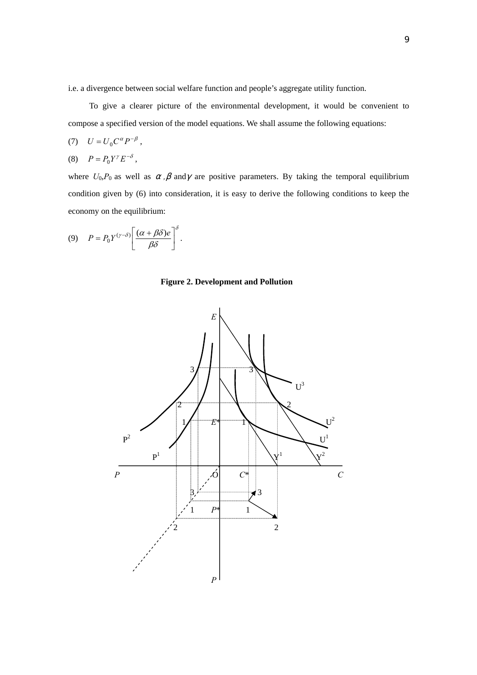i.e. a divergence between social welfare function and people's aggregate utility function.

To give a clearer picture of the environmental development, it would be convenient to compose a specified version of the model equations. We shall assume the following equations:

$$
(7) \quad U = U_0 C^{\alpha} P^{-\beta} \;,
$$

$$
(8) \tP = P_0 Y^{\gamma} E^{-\delta},
$$

where  $U_0$ , $P_0$  as well as , and are positive parameters. By taking the temporal equilibrium condition given by (6) into consideration, it is easy to derive the following conditions to keep the economy on the equilibrium:

$$
(9) \tP = P_0 Y^{(\gamma-\delta)} \left[ \frac{(\alpha+\beta\delta)e}{\beta\delta} \right]^{\delta}.
$$

**Figure 2. Development and Pollution** 

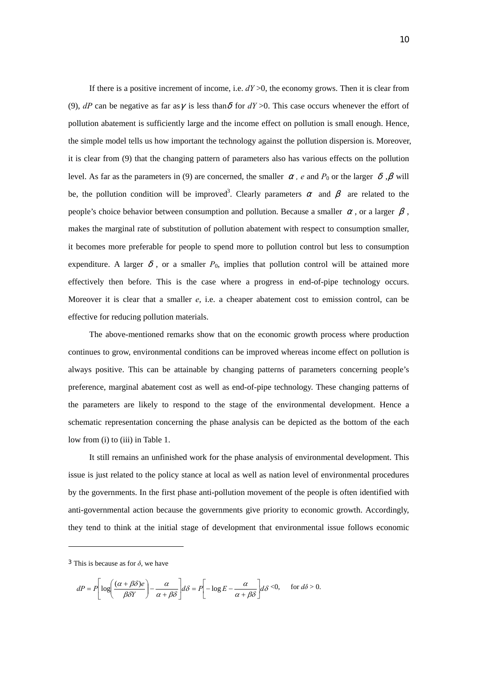If there is a positive increment of income, i.e.  $dY > 0$ , the economy grows. Then it is clear from (9),  $dP$  can be negative as far as is less than for  $dY > 0$ . This case occurs whenever the effort of pollution abatement is sufficiently large and the income effect on pollution is small enough. Hence, the simple model tells us how important the technology against the pollution dispersion is. Moreover, it is clear from (9) that the changing pattern of parameters also has various effects on the pollution level. As far as the parameters in (9) are concerned, the smaller *, e* and  $P_0$  or the larger , will be, the pollution condition will be improved<sup>3</sup>. Clearly parameters and are related to the people's choice behavior between consumption and pollution. Because a smaller , or a larger makes the marginal rate of substitution of pollution abatement with respect to consumption smaller, it becomes more preferable for people to spend more to pollution control but less to consumption expenditure. A larger, or a smaller  $P_0$ , implies that pollution control will be attained more effectively then before. This is the case where a progress in end-of-pipe technology occurs. Moreover it is clear that a smaller *e*, i.e. a cheaper abatement cost to emission control, can be effective for reducing pollution materials.

The above-mentioned remarks show that on the economic growth process where production continues to grow, environmental conditions can be improved whereas income effect on pollution is always positive. This can be attainable by changing patterns of parameters concerning people's preference, marginal abatement cost as well as end-of-pipe technology. These changing patterns of the parameters are likely to respond to the stage of the environmental development. Hence a schematic representation concerning the phase analysis can be depicted as the bottom of the each low from (i) to (iii) in Table 1.

It still remains an unfinished work for the phase analysis of environmental development. This issue is just related to the policy stance at local as well as nation level of environmental procedures by the governments. In the first phase anti-pollution movement of the people is often identified with anti-governmental action because the governments give priority to economic growth. Accordingly, they tend to think at the initial stage of development that environmental issue follows economic

 $\overline{a}$ 

$$
dP = P\left[\log\left(\frac{(\alpha+\beta\delta)e}{\beta\delta Y}\right) - \frac{\alpha}{\alpha+\beta\delta}\right] d\delta = P\left[-\log E - \frac{\alpha}{\alpha+\beta\delta}\right] d\delta < 0, \quad \text{for } d\delta > 0.
$$

<sup>&</sup>lt;sup>3</sup> This is because as for  $\delta$ , we have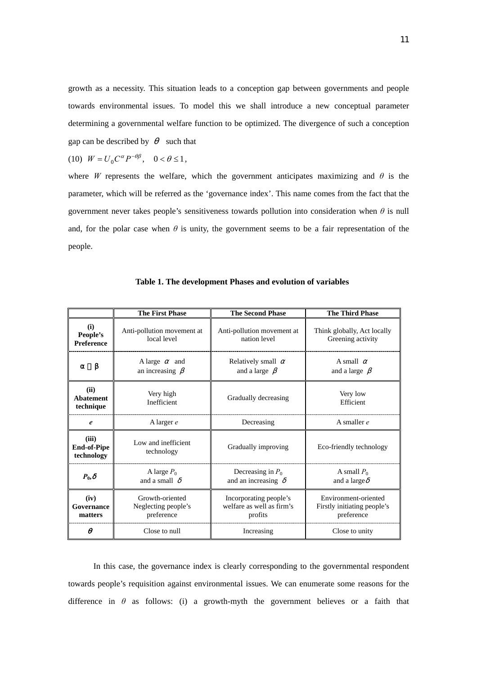growth as a necessity. This situation leads to a conception gap between governments and people towards environmental issues. To model this we shall introduce a new conceptual parameter determining a governmental welfare function to be optimized. The divergence of such a conception gap can be described by such that

$$
(10) \ \ W = U_0 C^{\alpha} P^{-\theta \beta}, \quad 0 < \theta \le 1,
$$

where *W* represents the welfare, which the government anticipates maximizing and  $\theta$  is the parameter, which will be referred as the 'governance index'. This name comes from the fact that the government never takes people's sensitiveness towards pollution into consideration when *θ* is null and, for the polar case when  $\theta$  is unity, the government seems to be a fair representation of the people.

|                                           | <b>The First Phase</b>                               | <b>The Second Phase</b>                                        | <b>The Third Phase</b>                                            |  |
|-------------------------------------------|------------------------------------------------------|----------------------------------------------------------------|-------------------------------------------------------------------|--|
| (i)<br>People's<br><b>Preference</b>      | Anti-pollution movement at<br>local level            | Anti-pollution movement at<br>nation level                     | Think globally, Act locally<br>Greening activity                  |  |
|                                           | A large<br>and<br>an increasing                      | Relatively small<br>and a large                                | A small<br>and a large                                            |  |
| (ii)<br><b>Abatement</b><br>technique     | Very high<br>Inefficient                             | Gradually decreasing                                           | Very low<br>Efficient                                             |  |
| e                                         | A larger $e$                                         | Decreasing                                                     | A smaller $e$                                                     |  |
| (iii)<br><b>End-of-Pipe</b><br>technology | Low and inefficient<br>technology                    | Gradually improving                                            | Eco-friendly technology                                           |  |
| $P_{0}$                                   | A large $P_0$<br>and a small                         | Decreasing in $P_0$<br>and an increasing                       | A small $P_0$<br>and a large                                      |  |
| (iv)<br>Governance<br>matters             | Growth-oriented<br>Neglecting people's<br>preference | Incorporating people's<br>welfare as well as firm's<br>profits | Environment-oriented<br>Firstly initiating people's<br>preference |  |
|                                           | Close to null                                        | Increasing                                                     | Close to unity                                                    |  |

**Table 1. The development Phases and evolution of variables**

In this case, the governance index is clearly corresponding to the governmental respondent towards people's requisition against environmental issues. We can enumerate some reasons for the difference in  $\theta$  as follows: (i) a growth-myth the government believes or a faith that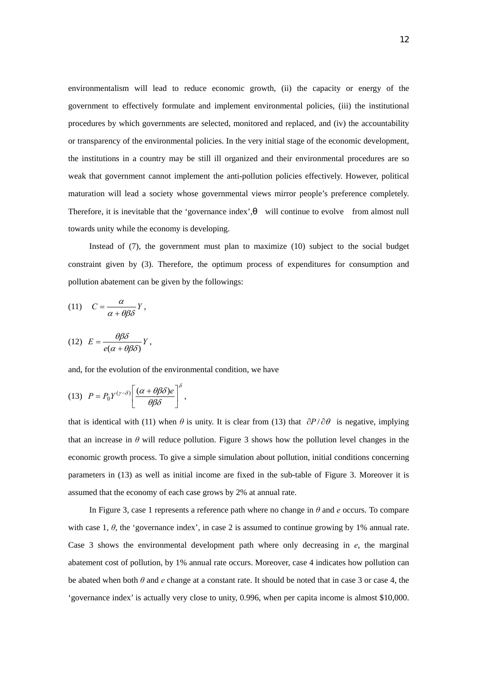environmentalism will lead to reduce economic growth, (ii) the capacity or energy of the government to effectively formulate and implement environmental policies, (iii) the institutional procedures by which governments are selected, monitored and replaced, and (iv) the accountability or transparency of the environmental policies. In the very initial stage of the economic development, the institutions in a country may be still ill organized and their environmental procedures are so weak that government cannot implement the anti-pollution policies effectively. However, political maturation will lead a society whose governmental views mirror people's preference completely. Therefore, it is inevitable that the 'governance index', will continue to evolve from almost null towards unity while the economy is developing.

Instead of (7), the government must plan to maximize (10) subject to the social budget constraint given by (3). Therefore, the optimum process of expenditures for consumption and pollution abatement can be given by the followings:

(11) 
$$
C = \frac{\alpha}{\alpha + \theta \beta \delta} Y,
$$
  
(12) 
$$
F = \frac{\theta \beta \delta}{V}
$$

(12) 
$$
E = \frac{\partial \rho}{\partial (\alpha + \theta)} Y,
$$

and, for the evolution of the environmental condition, we have

(13) 
$$
P = P_0 Y^{(\gamma - \delta)} \left[ \frac{(\alpha + \theta \beta \delta) e}{\theta \beta \delta} \right]^{\delta},
$$

that is identical with (11) when  $\theta$  is unity. It is clear from (13) that  $\partial P/\partial \theta$  is negative, implying that an increase in  $\theta$  will reduce pollution. Figure 3 shows how the pollution level changes in the economic growth process. To give a simple simulation about pollution, initial conditions concerning parameters in (13) as well as initial income are fixed in the sub-table of Figure 3. Moreover it is assumed that the economy of each case grows by 2% at annual rate.

In Figure 3, case 1 represents a reference path where no change in *θ* and *e* occurs. To compare with case 1,  $\theta$ , the 'governance index', in case 2 is assumed to continue growing by 1% annual rate. Case 3 shows the environmental development path where only decreasing in *e*, the marginal abatement cost of pollution, by 1% annual rate occurs. Moreover, case 4 indicates how pollution can be abated when both *θ* and *e* change at a constant rate. It should be noted that in case 3 or case 4, the 'governance index' is actually very close to unity, 0.996, when per capita income is almost \$10,000.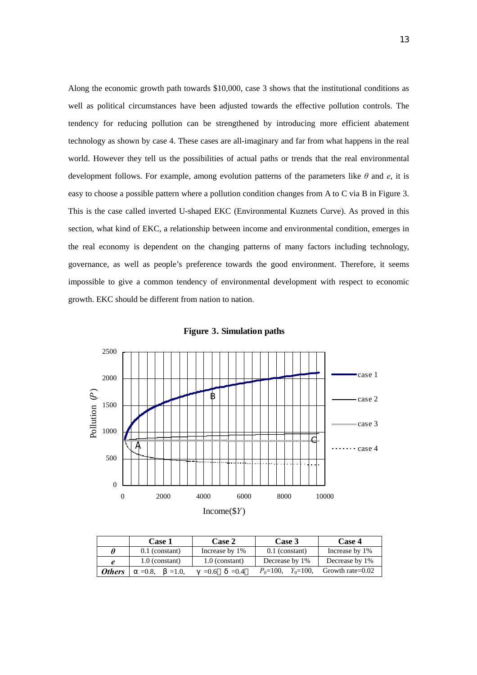Along the economic growth path towards \$10,000, case 3 shows that the institutional conditions as well as political circumstances have been adjusted towards the effective pollution controls. The tendency for reducing pollution can be strengthened by introducing more efficient abatement technology as shown by case 4. These cases are all-imaginary and far from what happens in the real world. However they tell us the possibilities of actual paths or trends that the real environmental development follows. For example, among evolution patterns of the parameters like *θ* and *e*, it is easy to choose a possible pattern where a pollution condition changes from A to C via B in Figure 3. This is the case called inverted U-shaped EKC (Environmental Kuznets Curve). As proved in this section, what kind of EKC, a relationship between income and environmental condition, emerges in the real economy is dependent on the changing patterns of many factors including technology, governance, as well as people's preference towards the good environment. Therefore, it seems impossible to give a common tendency of environmental development with respect to economic growth. EKC should be different from nation to nation.





|               | <b>Case 1</b>    |                                    | <b>Case 2</b>    |         | Case 3           |               | <b>Case 4</b>       |  |
|---------------|------------------|------------------------------------|------------------|---------|------------------|---------------|---------------------|--|
|               |                  | Increase by 1%<br>$0.1$ (constant) |                  |         | $0.1$ (constant) |               | Increase by 1%      |  |
|               | $1.0$ (constant) |                                    | $1.0$ (constant) |         | Decrease by 1%   |               | Decrease by 1%      |  |
| <b>Others</b> | $=0.8$ .         | $=1.0.$                            | $= 0.6$          | $= 0.4$ | $P_0 = 100.$     | $Y_0 = 100$ , | Growth rate= $0.02$ |  |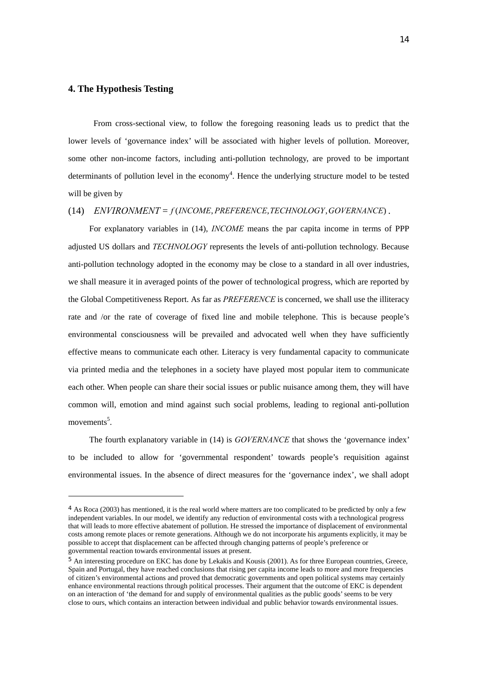# **4. The Hypothesis Testing**

 $\overline{a}$ 

From cross-sectional view, to follow the foregoing reasoning leads us to predict that the lower levels of 'governance index' will be associated with higher levels of pollution. Moreover, some other non-income factors, including anti-pollution technology, are proved to be important determinants of pollution level in the economy<sup>4</sup>. Hence the underlying structure model to be tested will be given by

#### (14) *ENVIRONMENT* = *f* (*INCOME*, *PREFERENCE*,*TECHNOLOGY*,*GOVERNANCE*) .

For explanatory variables in (14), *INCOME* means the par capita income in terms of PPP adjusted US dollars and *TECHNOLOGY* represents the levels of anti-pollution technology. Because anti-pollution technology adopted in the economy may be close to a standard in all over industries, we shall measure it in averaged points of the power of technological progress, which are reported by the Global Competitiveness Report. As far as *PREFERENCE* is concerned, we shall use the illiteracy rate and /or the rate of coverage of fixed line and mobile telephone. This is because people's environmental consciousness will be prevailed and advocated well when they have sufficiently effective means to communicate each other. Literacy is very fundamental capacity to communicate via printed media and the telephones in a society have played most popular item to communicate each other. When people can share their social issues or public nuisance among them, they will have common will, emotion and mind against such social problems, leading to regional anti-pollution movements<sup>5</sup>.

The fourth explanatory variable in (14) is *GOVERNANCE* that shows the 'governance index' to be included to allow for 'governmental respondent' towards people's requisition against environmental issues. In the absence of direct measures for the 'governance index', we shall adopt

<sup>4</sup> As Roca (2003) has mentioned, it is the real world where matters are too complicated to be predicted by only a few independent variables. In our model, we identify any reduction of environmental costs with a technological progress that will leads to more effective abatement of pollution. He stressed the importance of displacement of environmental costs among remote places or remote generations. Although we do not incorporate his arguments explicitly, it may be possible to accept that displacement can be affected through changing patterns of people's preference or governmental reaction towards environmental issues at present.

<sup>5</sup> An interesting procedure on EKC has done by Lekakis and Kousis (2001). As for three European countries, Greece, Spain and Portugal, they have reached conclusions that rising per capita income leads to more and more frequencies of citizen's environmental actions and proved that democratic governments and open political systems may certainly enhance environmental reactions through political processes. Their argument that the outcome of EKC is dependent on an interaction of 'the demand for and supply of environmental qualities as the public goods' seems to be very close to ours, which contains an interaction between individual and public behavior towards environmental issues.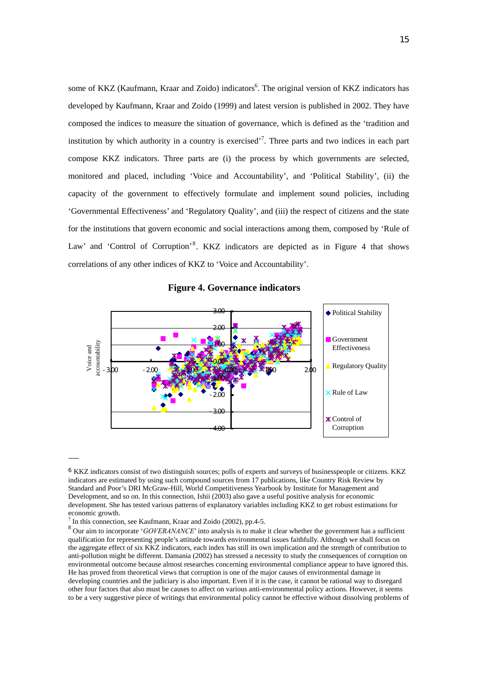some of KKZ (Kaufmann, Kraar and Zoido) indicators<sup>6</sup>. The original version of KKZ indicators has developed by Kaufmann, Kraar and Zoido (1999) and latest version is published in 2002. They have composed the indices to measure the situation of governance, which is defined as the 'tradition and institution by which authority in a country is exercised<sup> $,7$ </sup>. Three parts and two indices in each part compose KKZ indicators. Three parts are (i) the process by which governments are selected, monitored and placed, including 'Voice and Accountability', and 'Political Stability', (ii) the capacity of the government to effectively formulate and implement sound policies, including 'Governmental Effectiveness' and 'Regulatory Quality', and (iii) the respect of citizens and the state for the institutions that govern economic and social interactions among them, composed by 'Rule of Law' and 'Control of Corruption'<sup>8</sup>. KKZ indicators are depicted as in Figure 4 that shows correlations of any other indices of KKZ to 'Voice and Accountability'.

#### $\rm{a}$ ◆ Political Stability  $200$ Government accountability ccountability 1.00 Effectiveness Voice and Voice and **OCC** Regulatory Quality  $-300$   $-200$   $-1.00$   $-1.00$   $-1.00$   $-1.00$   $-1.00$   $-1.00$   $-1.00$   $-1.00$   $-1.00$   $-1.00$   $-1.00$   $-1.00$   $-1.00$   $-1.00$   $-1.00$   $-1.00$   $-1.00$   $-1.00$   $-1.00$   $-1.00$   $-1.00$   $-1.00$   $-1.00$   $-1.00$   $-1.00$   $-1.00$ -1.00 Rule of Law  $-200$  $\alpha$ Control of Corruption  $-4.00$

# **Figure 4. Governance indicators**

 $\overline{a}$ 

<sup>6</sup> KKZ indicators consist of two distinguish sources; polls of experts and surveys of businesspeople or citizens. KKZ indicators are estimated by using such compound sources from 17 publications, like Country Risk Review by Standard and Poor's DRI McGraw-Hill, World Competitiveness Yearbook by Institute for Management and Development, and so on. In this connection, Ishii (2003) also gave a useful positive analysis for economic development. She has tested various patterns of explanatory variables including KKZ to get robust estimations for economic growth.

In this connection, see Kaufmann, Kraar and Zoido (2002), pp.4-5.

<sup>&</sup>lt;sup>8</sup> Our aim to incorporate '*GOVERANANCE*' into analysis is to make it clear whether the government has a sufficient qualification for representing people's attitude towards environmental issues faithfully. Although we shall focus on the aggregate effect of six KKZ indicators, each index has still its own implication and the strength of contribution to anti-pollution might be different. Damania (2002) has stressed a necessity to study the consequences of corruption on environmental outcome because almost researches concerning environmental compliance appear to have ignored this. He has proved from theoretical views that corruption is one of the major causes of environmental damage in developing countries and the judiciary is also important. Even if it is the case, it cannot be rational way to disregard other four factors that also must be causes to affect on various anti-environmental policy actions. However, it seems to be a very suggestive piece of writings that environmental policy cannot be effective without dissolving problems of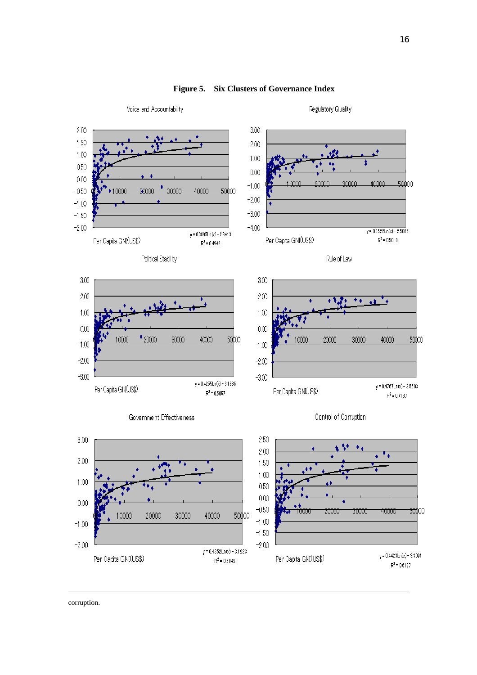

# **Figure 5. Six Clusters of Governance Index**

corruption.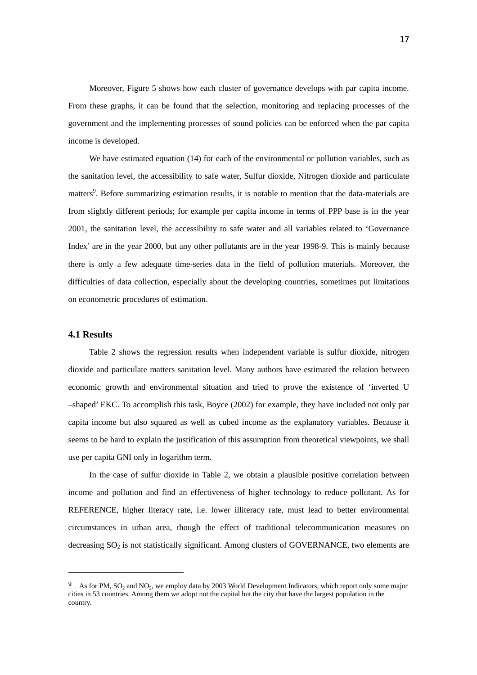Moreover, Figure 5 shows how each cluster of governance develops with par capita income. From these graphs, it can be found that the selection, monitoring and replacing processes of the government and the implementing processes of sound policies can be enforced when the par capita income is developed.

 We have estimated equation (14) for each of the environmental or pollution variables, such as the sanitation level, the accessibility to safe water, Sulfur dioxide, Nitrogen dioxide and particulate matters<sup>9</sup>. Before summarizing estimation results, it is notable to mention that the data-materials are from slightly different periods; for example per capita income in terms of PPP base is in the year 2001, the sanitation level, the accessibility to safe water and all variables related to 'Governance Index' are in the year 2000, but any other pollutants are in the year 1998-9. This is mainly because there is only a few adequate time-series data in the field of pollution materials. Moreover, the difficulties of data collection, especially about the developing countries, sometimes put limitations on econometric procedures of estimation.

#### **4.1 Results**

 $\overline{a}$ 

 Table 2 shows the regression results when independent variable is sulfur dioxide, nitrogen dioxide and particulate matters sanitation level. Many authors have estimated the relation between economic growth and environmental situation and tried to prove the existence of 'inverted U –shaped' EKC. To accomplish this task, Boyce (2002) for example, they have included not only par capita income but also squared as well as cubed income as the explanatory variables. Because it seems to be hard to explain the justification of this assumption from theoretical viewpoints, we shall use per capita GNI only in logarithm term.

 In the case of sulfur dioxide in Table 2, we obtain a plausible positive correlation between income and pollution and find an effectiveness of higher technology to reduce pollutant. As for REFERENCE, higher literacy rate, i.e. lower illiteracy rate, must lead to better environmental circumstances in urban area, though the effect of traditional telecommunication measures on decreasing  $SO<sub>2</sub>$  is not statistically significant. Among clusters of GOVERNANCE, two elements are

As for PM,  $SO_2$  and  $NO_2$ , we employ data by 2003 World Development Indicators, which report only some major cities in 53 countries. Among them we adopt not the capital but the city that have the largest population in the country.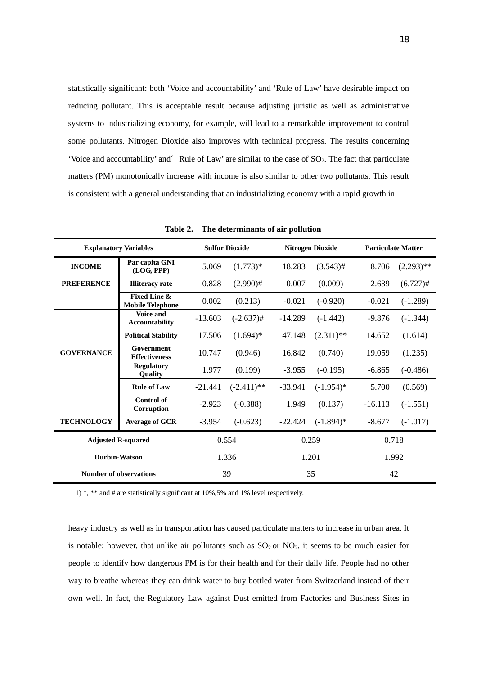statistically significant: both 'Voice and accountability' and 'Rule of Law' have desirable impact on reducing pollutant. This is acceptable result because adjusting juristic as well as administrative systems to industrializing economy, for example, will lead to a remarkable improvement to control some pollutants. Nitrogen Dioxide also improves with technical progress. The results concerning 'Voice and accountability' and Rule of Law' are similar to the case of  $SO_2$ . The fact that particulate matters (PM) monotonically increase with income is also similar to other two pollutants. This result is consistent with a general understanding that an industrializing economy with a rapid growth in

| <b>Explanatory Variables</b>  |                                                    | <b>Sulfur Dioxide</b> |               | <b>Nitrogen Dioxide</b> |              | <b>Particulate Matter</b> |              |
|-------------------------------|----------------------------------------------------|-----------------------|---------------|-------------------------|--------------|---------------------------|--------------|
| <b>INCOME</b>                 | Par capita GNI<br>(LOG, PPP)                       | 5.069                 | $(1.773)*$    | 18.283                  | $(3.543)$ #  | 8.706                     | $(2.293)$ ** |
| <b>PREFERENCE</b>             | <b>Illiteracy rate</b>                             | 0.828                 | $(2.990)$ #   | 0.007                   | (0.009)      | 2.639                     | $(6.727)$ #  |
|                               | <b>Fixed Line &amp;</b><br><b>Mobile Telephone</b> | 0.002                 | (0.213)       | $-0.021$                | $(-0.920)$   | $-0.021$                  | $(-1.289)$   |
|                               | Voice and<br><b>Accountability</b>                 | $-13.603$             | $(-2.637)$ #  | $-14.289$               | $(-1.442)$   | $-9.876$                  | $(-1.344)$   |
|                               | <b>Political Stability</b>                         | 17.506                | $(1.694)*$    | 47.148                  | $(2.311)$ ** | 14.652                    | (1.614)      |
| <b>GOVERNANCE</b>             | Government<br><b>Effectiveness</b>                 | 10.747                | (0.946)       | 16.842                  | (0.740)      | 19.059                    | (1.235)      |
|                               | <b>Regulatory</b><br><b>Quality</b>                | 1.977                 | (0.199)       | $-3.955$                | $(-0.195)$   | $-6.865$                  | $(-0.486)$   |
|                               | <b>Rule of Law</b>                                 | $-21.441$             | $(-2.411)$ ** | $-33.941$               | $(-1.954)*$  | 5.700                     | (0.569)      |
|                               | <b>Control of</b><br>Corruption                    | $-2.923$              | $(-0.388)$    | 1.949                   | (0.137)      | $-16.113$                 | $(-1.551)$   |
| <b>TECHNOLOGY</b>             | <b>Average of GCR</b>                              | $-3.954$              | $(-0.623)$    | $-22.424$               | $(-1.894)$ * | $-8.677$                  | $(-1.017)$   |
| <b>Adjusted R-squared</b>     |                                                    | 0.554                 |               | 0.259                   |              | 0.718                     |              |
| <b>Durbin-Watson</b>          |                                                    | 1.336                 |               | 1.201                   |              | 1.992                     |              |
| <b>Number of observations</b> |                                                    | 39                    |               | 35                      |              | 42                        |              |

**Table 2. The determinants of air pollution** 

1) \*, \*\* and # are statistically significant at 10%,5% and 1% level respectively.

heavy industry as well as in transportation has caused particulate matters to increase in urban area. It is notable; however, that unlike air pollutants such as  $SO_2$  or  $NO_2$ , it seems to be much easier for people to identify how dangerous PM is for their health and for their daily life. People had no other way to breathe whereas they can drink water to buy bottled water from Switzerland instead of their own well. In fact, the Regulatory Law against Dust emitted from Factories and Business Sites in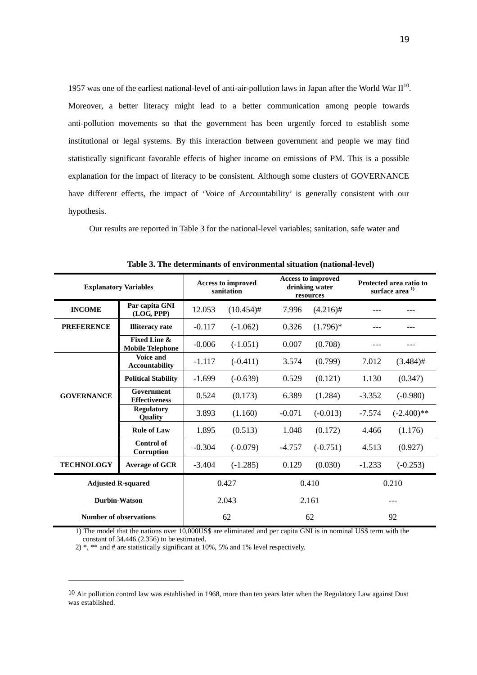1957 was one of the earliest national-level of anti-air-pollution laws in Japan after the World War  $II^{10}$ . Moreover, a better literacy might lead to a better communication among people towards anti-pollution movements so that the government has been urgently forced to establish some institutional or legal systems. By this interaction between government and people we may find statistically significant favorable effects of higher income on emissions of PM. This is a possible explanation for the impact of literacy to be consistent. Although some clusters of GOVERNANCE have different effects, the impact of 'Voice of Accountability' is generally consistent with our hypothesis.

Our results are reported in Table 3 for the national-level variables; sanitation, safe water and

| <b>Explanatory Variables</b>  |                                                    | Access to improved<br>sanitation |              | <b>Access to improved</b><br>drinking water<br>resources |             | Protected area ratio to<br>surface area <sup>1)</sup> |               |
|-------------------------------|----------------------------------------------------|----------------------------------|--------------|----------------------------------------------------------|-------------|-------------------------------------------------------|---------------|
| <b>INCOME</b>                 | Par capita GNI<br>(LOG, PPP)                       | 12.053                           | $(10.454)$ # | 7.996                                                    | $(4.216)$ # |                                                       |               |
| <b>PREFERENCE</b>             | <b>Illiteracy</b> rate                             | $-0.117$                         | $(-1.062)$   | 0.326                                                    | $(1.796)^*$ |                                                       |               |
|                               | <b>Fixed Line &amp;</b><br><b>Mobile Telephone</b> | $-0.006$                         | $(-1.051)$   | 0.007                                                    | (0.708)     |                                                       |               |
|                               | Voice and<br><b>Accountability</b>                 | $-1.117$                         | $(-0.411)$   | 3.574                                                    | (0.799)     | 7.012                                                 | $(3.484)$ #   |
| <b>GOVERNANCE</b>             | <b>Political Stability</b>                         | $-1.699$                         | $(-0.639)$   | 0.529                                                    | (0.121)     | 1.130                                                 | (0.347)       |
|                               | Government<br><b>Effectiveness</b>                 | 0.524                            | (0.173)      | 6.389                                                    | (1.284)     | $-3.352$                                              | $(-0.980)$    |
|                               | <b>Regulatory</b><br>Quality                       | 3.893                            | (1.160)      | $-0.071$                                                 | $(-0.013)$  | $-7.574$                                              | $(-2.400)$ ** |
|                               | <b>Rule of Law</b>                                 | 1.895                            | (0.513)      | 1.048                                                    | (0.172)     | 4.466                                                 | (1.176)       |
|                               | <b>Control of</b><br>Corruption                    | $-0.304$                         | $(-0.079)$   | $-4.757$                                                 | $(-0.751)$  | 4.513                                                 | (0.927)       |
| <b>TECHNOLOGY</b>             | <b>Average of GCR</b>                              | $-3.404$                         | $(-1.285)$   | 0.129                                                    | (0.030)     | $-1.233$                                              | $(-0.253)$    |
| <b>Adjusted R-squared</b>     |                                                    | 0.427                            |              | 0.410                                                    |             | 0.210                                                 |               |
| <b>Durbin-Watson</b>          |                                                    | 2.043                            |              | 2.161                                                    |             | ---                                                   |               |
| <b>Number of observations</b> |                                                    | 62                               |              | 62                                                       |             | 92                                                    |               |

**Table 3. The determinants of environmental situation (national-level)** 

1) The model that the nations over 10,000US\$ are eliminated and per capita GNI is in nominal US\$ term with the constant of 34.446 (2.356) to be estimated.

2) \*, \*\* and # are statistically significant at 10%, 5% and 1% level respectively.

 $\overline{a}$ 

<sup>&</sup>lt;sup>10</sup> Air pollution control law was established in 1968, more than ten years later when the Regulatory Law against Dust was established.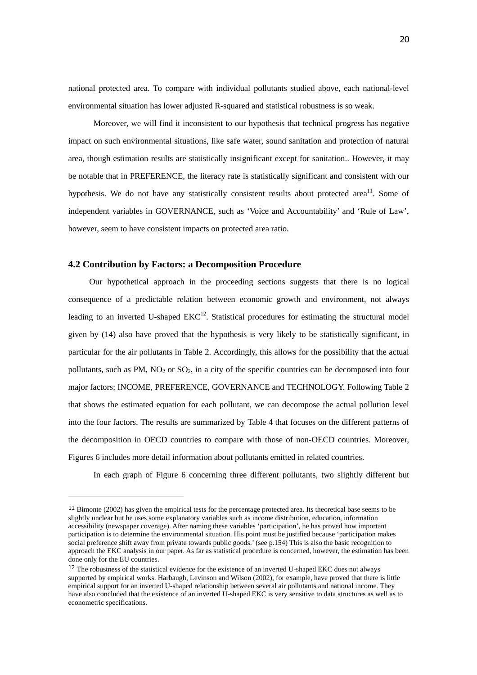national protected area. To compare with individual pollutants studied above, each national-level environmental situation has lower adjusted R-squared and statistical robustness is so weak.

Moreover, we will find it inconsistent to our hypothesis that technical progress has negative impact on such environmental situations, like safe water, sound sanitation and protection of natural area, though estimation results are statistically insignificant except for sanitation.. However, it may be notable that in PREFERENCE, the literacy rate is statistically significant and consistent with our hypothesis. We do not have any statistically consistent results about protected area<sup>11</sup>. Some of independent variables in GOVERNANCE, such as 'Voice and Accountability' and 'Rule of Law', however, seem to have consistent impacts on protected area ratio.

# **4.2 Contribution by Factors: a Decomposition Procedure**

 $\overline{a}$ 

 Our hypothetical approach in the proceeding sections suggests that there is no logical consequence of a predictable relation between economic growth and environment, not always leading to an inverted U-shaped  $EKC^{12}$ . Statistical procedures for estimating the structural model given by (14) also have proved that the hypothesis is very likely to be statistically significant, in particular for the air pollutants in Table 2. Accordingly, this allows for the possibility that the actual pollutants, such as PM,  $NO_2$  or  $SO_2$ , in a city of the specific countries can be decomposed into four major factors; INCOME, PREFERENCE, GOVERNANCE and TECHNOLOGY. Following Table 2 that shows the estimated equation for each pollutant, we can decompose the actual pollution level into the four factors. The results are summarized by Table 4 that focuses on the different patterns of the decomposition in OECD countries to compare with those of non-OECD countries. Moreover, Figures 6 includes more detail information about pollutants emitted in related countries.

In each graph of Figure 6 concerning three different pollutants, two slightly different but

<sup>11</sup> Bimonte (2002) has given the empirical tests for the percentage protected area. Its theoretical base seems to be slightly unclear but he uses some explanatory variables such as income distribution, education, information accessibility (newspaper coverage). After naming these variables 'participation', he has proved how important participation is to determine the environmental situation. His point must be justified because 'participation makes social preference shift away from private towards public goods.' (see p.154) This is also the basic recognition to approach the EKC analysis in our paper. As far as statistical procedure is concerned, however, the estimation has been done only for the EU countries.

<sup>&</sup>lt;sup>12</sup> The robustness of the statistical evidence for the existence of an inverted U-shaped EKC does not always supported by empirical works. Harbaugh, Levinson and Wilson (2002), for example, have proved that there is little empirical support for an inverted U-shaped relationship between several air pollutants and national income. They have also concluded that the existence of an inverted U-shaped EKC is very sensitive to data structures as well as to econometric specifications.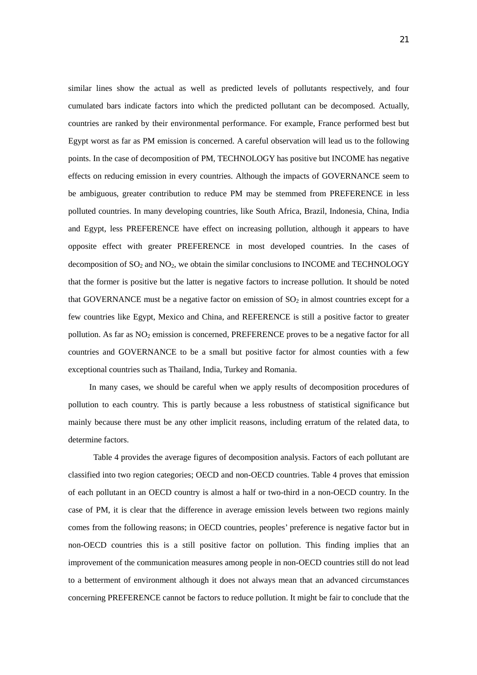similar lines show the actual as well as predicted levels of pollutants respectively, and four cumulated bars indicate factors into which the predicted pollutant can be decomposed. Actually, countries are ranked by their environmental performance. For example, France performed best but Egypt worst as far as PM emission is concerned. A careful observation will lead us to the following points. In the case of decomposition of PM, TECHNOLOGY has positive but INCOME has negative effects on reducing emission in every countries. Although the impacts of GOVERNANCE seem to be ambiguous, greater contribution to reduce PM may be stemmed from PREFERENCE in less polluted countries. In many developing countries, like South Africa, Brazil, Indonesia, China, India and Egypt, less PREFERENCE have effect on increasing pollution, although it appears to have opposite effect with greater PREFERENCE in most developed countries. In the cases of decomposition of  $SO_2$  and  $NO_2$ , we obtain the similar conclusions to INCOME and TECHNOLOGY that the former is positive but the latter is negative factors to increase pollution. It should be noted that GOVERNANCE must be a negative factor on emission of  $SO<sub>2</sub>$  in almost countries except for a few countries like Egypt, Mexico and China, and REFERENCE is still a positive factor to greater pollution. As far as  $NO<sub>2</sub>$  emission is concerned, PREFERENCE proves to be a negative factor for all countries and GOVERNANCE to be a small but positive factor for almost counties with a few exceptional countries such as Thailand, India, Turkey and Romania.

In many cases, we should be careful when we apply results of decomposition procedures of pollution to each country. This is partly because a less robustness of statistical significance but mainly because there must be any other implicit reasons, including erratum of the related data, to determine factors.

Table 4 provides the average figures of decomposition analysis. Factors of each pollutant are classified into two region categories; OECD and non-OECD countries. Table 4 proves that emission of each pollutant in an OECD country is almost a half or two-third in a non-OECD country. In the case of PM, it is clear that the difference in average emission levels between two regions mainly comes from the following reasons; in OECD countries, peoples' preference is negative factor but in non-OECD countries this is a still positive factor on pollution. This finding implies that an improvement of the communication measures among people in non-OECD countries still do not lead to a betterment of environment although it does not always mean that an advanced circumstances concerning PREFERENCE cannot be factors to reduce pollution. It might be fair to conclude that the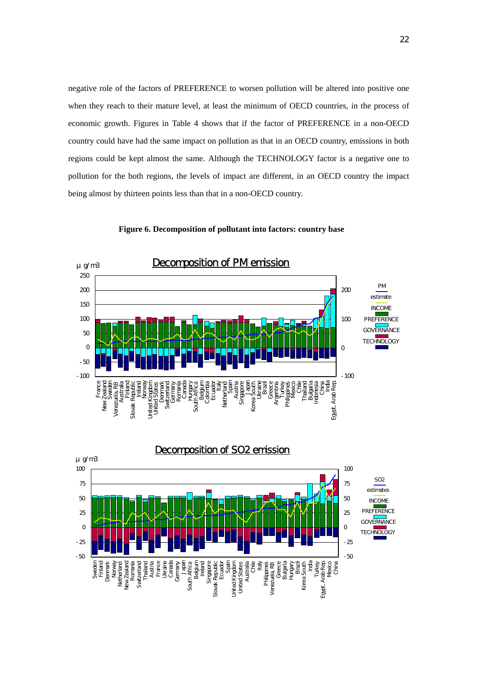negative role of the factors of PREFERENCE to worsen pollution will be altered into positive one when they reach to their mature level, at least the minimum of OECD countries, in the process of economic growth. Figures in Table 4 shows that if the factor of PREFERENCE in a non-OECD country could have had the same impact on pollution as that in an OECD country, emissions in both regions could be kept almost the same. Although the TECHNOLOGY factor is a negative one to pollution for the both regions, the levels of impact are different, in an OECD country the impact being almost by thirteen points less than that in a non-OECD country.



**Figure 6. Decomposition of pollutant into factors: country base** 

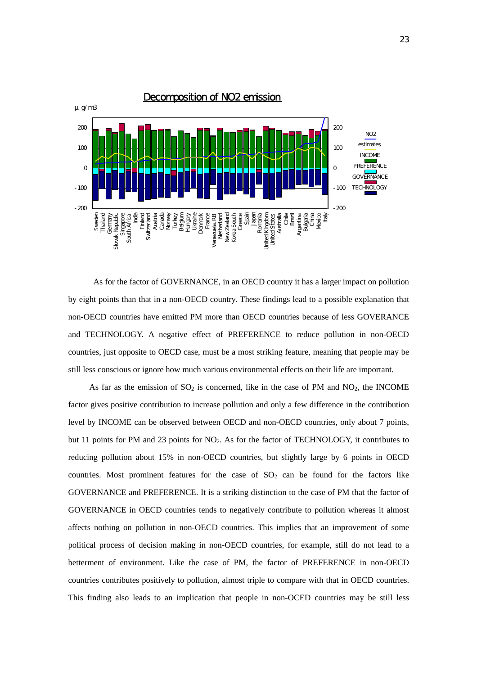

As for the factor of GOVERNANCE, in an OECD country it has a larger impact on pollution by eight points than that in a non-OECD country. These findings lead to a possible explanation that non-OECD countries have emitted PM more than OECD countries because of less GOVERANCE and TECHNOLOGY. A negative effect of PREFERENCE to reduce pollution in non-OECD countries, just opposite to OECD case, must be a most striking feature, meaning that people may be still less conscious or ignore how much various environmental effects on their life are important.

As far as the emission of  $SO_2$  is concerned, like in the case of PM and  $NO_2$ , the INCOME factor gives positive contribution to increase pollution and only a few difference in the contribution level by INCOME can be observed between OECD and non-OECD countries, only about 7 points, but 11 points for PM and 23 points for NO<sub>2</sub>. As for the factor of TECHNOLOGY, it contributes to reducing pollution about 15% in non-OECD countries, but slightly large by 6 points in OECD countries. Most prominent features for the case of  $SO<sub>2</sub>$  can be found for the factors like GOVERNANCE and PREFERENCE. It is a striking distinction to the case of PM that the factor of GOVERNANCE in OECD countries tends to negatively contribute to pollution whereas it almost affects nothing on pollution in non-OECD countries. This implies that an improvement of some political process of decision making in non-OECD countries, for example, still do not lead to a betterment of environment. Like the case of PM, the factor of PREFERENCE in non-OECD countries contributes positively to pollution, almost triple to compare with that in OECD countries. This finding also leads to an implication that people in non-OCED countries may be still less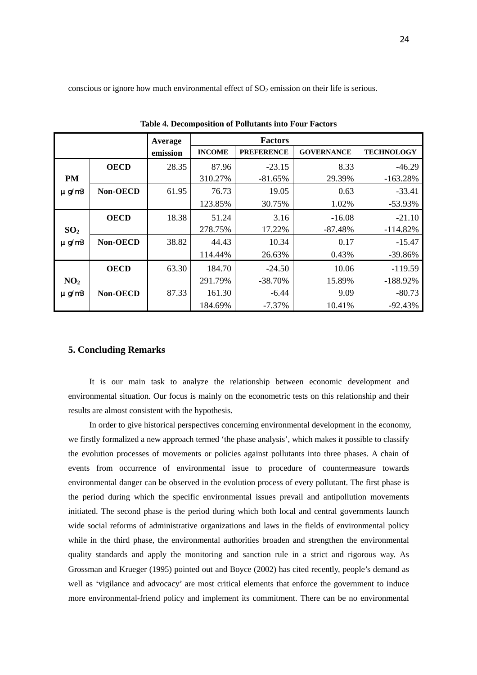conscious or ignore how much environmental effect of  $SO<sub>2</sub>$  emission on their life is serious.

|                        |             | Average  | <b>Factors</b> |                   |                   |                   |  |  |
|------------------------|-------------|----------|----------------|-------------------|-------------------|-------------------|--|--|
|                        |             | emission | <b>INCOME</b>  | <b>PREFERENCE</b> | <b>GOVERNANCE</b> | <b>TECHNOLOGY</b> |  |  |
|                        | <b>OECD</b> | 28.35    | 87.96          | $-23.15$          | 8.33              | $-46.29$          |  |  |
| PM                     |             |          | 310.27%        | $-81.65%$         | 29.39%            | $-163.28%$        |  |  |
| $\mu$ g/m <sup>3</sup> | Non-OECD    | 61.95    | 76.73          | 19.05             | 0.63              | $-33.41$          |  |  |
|                        |             |          | 123.85%        | 30.75%            | 1.02%             | $-53.93%$         |  |  |
|                        | <b>OECD</b> | 18.38    | 51.24          | 3.16              | $-16.08$          | $-21.10$          |  |  |
| SO <sub>2</sub>        |             |          | 278.75%        | 17.22%            | $-87.48%$         | $-114.82%$        |  |  |
| $\mu$ g/m <sup>3</sup> | Non-OECD    | 38.82    | 44.43          | 10.34             | 0.17              | $-15.47$          |  |  |
|                        |             |          | 114.44%        | 26.63%            | 0.43%             | $-39.86%$         |  |  |
|                        | <b>OECD</b> | 63.30    | 184.70         | $-24.50$          | 10.06             | $-119.59$         |  |  |
| NO <sub>2</sub>        |             |          | 291.79%        | $-38.70\%$        | 15.89%            | $-188.92%$        |  |  |
| $\mu$ g/m <sup>3</sup> | Non-OECD    | 87.33    | 161.30         | $-6.44$           | 9.09              | $-80.73$          |  |  |
|                        |             |          | 184.69%        | $-7.37\%$         | 10.41%            | $-92.43%$         |  |  |

**Table 4. Decomposition of Pollutants into Four Factors** 

# **5. Concluding Remarks**

It is our main task to analyze the relationship between economic development and environmental situation. Our focus is mainly on the econometric tests on this relationship and their results are almost consistent with the hypothesis.

In order to give historical perspectives concerning environmental development in the economy, we firstly formalized a new approach termed 'the phase analysis', which makes it possible to classify the evolution processes of movements or policies against pollutants into three phases. A chain of events from occurrence of environmental issue to procedure of countermeasure towards environmental danger can be observed in the evolution process of every pollutant. The first phase is the period during which the specific environmental issues prevail and antipollution movements initiated. The second phase is the period during which both local and central governments launch wide social reforms of administrative organizations and laws in the fields of environmental policy while in the third phase, the environmental authorities broaden and strengthen the environmental quality standards and apply the monitoring and sanction rule in a strict and rigorous way. As Grossman and Krueger (1995) pointed out and Boyce (2002) has cited recently, people's demand as well as 'vigilance and advocacy' are most critical elements that enforce the government to induce more environmental-friend policy and implement its commitment. There can be no environmental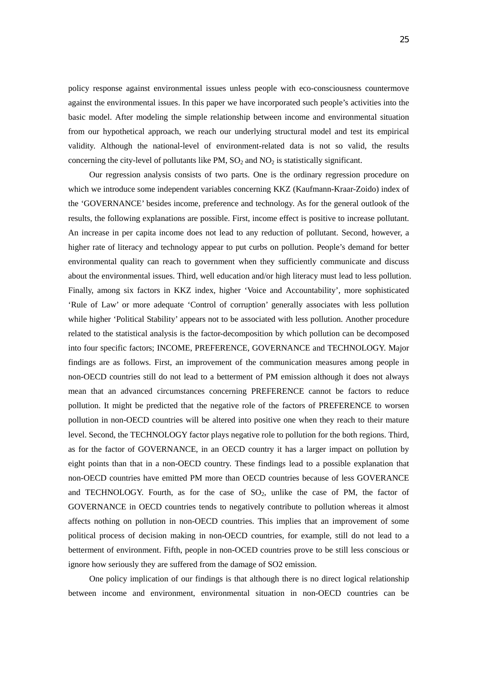policy response against environmental issues unless people with eco-consciousness countermove against the environmental issues. In this paper we have incorporated such people's activities into the basic model. After modeling the simple relationship between income and environmental situation from our hypothetical approach, we reach our underlying structural model and test its empirical validity. Although the national-level of environment-related data is not so valid, the results concerning the city-level of pollutants like  $PM$ ,  $SO_2$  and  $NO_2$  is statistically significant.

Our regression analysis consists of two parts. One is the ordinary regression procedure on which we introduce some independent variables concerning KKZ (Kaufmann-Kraar-Zoido) index of the 'GOVERNANCE' besides income, preference and technology. As for the general outlook of the results, the following explanations are possible. First, income effect is positive to increase pollutant. An increase in per capita income does not lead to any reduction of pollutant. Second, however, a higher rate of literacy and technology appear to put curbs on pollution. People's demand for better environmental quality can reach to government when they sufficiently communicate and discuss about the environmental issues. Third, well education and/or high literacy must lead to less pollution. Finally, among six factors in KKZ index, higher 'Voice and Accountability', more sophisticated 'Rule of Law' or more adequate 'Control of corruption' generally associates with less pollution while higher 'Political Stability' appears not to be associated with less pollution. Another procedure related to the statistical analysis is the factor-decomposition by which pollution can be decomposed into four specific factors; INCOME, PREFERENCE, GOVERNANCE and TECHNOLOGY. Major findings are as follows. First, an improvement of the communication measures among people in non-OECD countries still do not lead to a betterment of PM emission although it does not always mean that an advanced circumstances concerning PREFERENCE cannot be factors to reduce pollution. It might be predicted that the negative role of the factors of PREFERENCE to worsen pollution in non-OECD countries will be altered into positive one when they reach to their mature level. Second, the TECHNOLOGY factor plays negative role to pollution for the both regions. Third, as for the factor of GOVERNANCE, in an OECD country it has a larger impact on pollution by eight points than that in a non-OECD country. These findings lead to a possible explanation that non-OECD countries have emitted PM more than OECD countries because of less GOVERANCE and TECHNOLOGY. Fourth, as for the case of  $SO<sub>2</sub>$ , unlike the case of PM, the factor of GOVERNANCE in OECD countries tends to negatively contribute to pollution whereas it almost affects nothing on pollution in non-OECD countries. This implies that an improvement of some political process of decision making in non-OECD countries, for example, still do not lead to a betterment of environment. Fifth, people in non-OCED countries prove to be still less conscious or ignore how seriously they are suffered from the damage of SO2 emission.

 One policy implication of our findings is that although there is no direct logical relationship between income and environment, environmental situation in non-OECD countries can be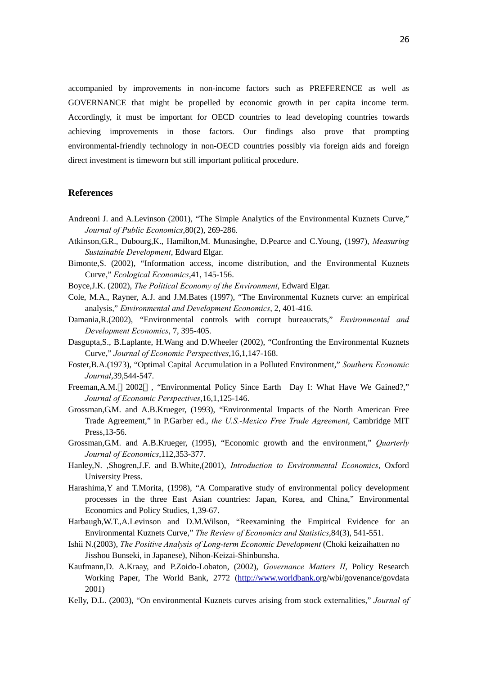accompanied by improvements in non-income factors such as PREFERENCE as well as GOVERNANCE that might be propelled by economic growth in per capita income term. Accordingly, it must be important for OECD countries to lead developing countries towards achieving improvements in those factors. Our findings also prove that prompting environmental-friendly technology in non-OECD countries possibly via foreign aids and foreign direct investment is timeworn but still important political procedure.

# **References**

- Andreoni J. and A.Levinson (2001), "The Simple Analytics of the Environmental Kuznets Curve," *Journal of Public Economics*,80(2), 269-286.
- Atkinson,G.R., Dubourg,K., Hamilton,M. Munasinghe, D.Pearce and C.Young, (1997), *Measuring Sustainable Development*, Edward Elgar.
- Bimonte,S. (2002), "Information access, income distribution, and the Environmental Kuznets Curve," *Ecological Economics*,41, 145-156.
- Boyce,J.K. (2002), *The Political Economy of the Environment*, Edward Elgar.
- Cole, M.A., Rayner, A.J. and J.M.Bates (1997), "The Environmental Kuznets curve: an empirical analysis," *Environmental and Development Economics*, 2, 401-416.
- Damania,R.(2002), "Environmental controls with corrupt bureaucrats," *Environmental and Development Economics*, 7, 395-405.
- Dasgupta,S., B.Laplante, H.Wang and D.Wheeler (2002), "Confronting the Environmental Kuznets Curve," *Journal of Economic Perspectives*,16,1,147-168.
- Foster,B.A.(1973), "Optimal Capital Accumulation in a Polluted Environment," *Southern Economic Journal*,39,544-547.
- Freeman,A.M. 2002 , "Environmental Policy Since Earth Day I: What Have We Gained?," *Journal of Economic Perspectives*,16,1,125-146.
- Grossman,G.M. and A.B.Krueger, (1993), "Environmental Impacts of the North American Free Trade Agreement," in P.Garber ed., *the U.S.-Mexico Free Trade Agreement*, Cambridge MIT Press,13-56.
- Grossman,G.M. and A.B.Krueger, (1995), "Economic growth and the environment," *Quarterly Journal of Economics*,112,353-377.
- Hanley,N. ,Shogren,J.F. and B.White,(2001), *Introduction to Environmental Economics*, Oxford University Press.
- Harashima,Y and T.Morita, (1998), "A Comparative study of environmental policy development processes in the three East Asian countries: Japan, Korea, and China," Environmental Economics and Policy Studies, 1,39-67.
- Harbaugh,W.T.,A.Levinson and D.M.Wilson, "Reexamining the Empirical Evidence for an Environmental Kuznets Curve," *The Review of Economics and Statistics*,84(3), 541-551.
- Ishii N.(2003), *The Positive Analysis of Long-term Economic Development* (Choki keizaihatten no Jisshou Bunseki, in Japanese), Nihon-Keizai-Shinbunsha.
- Kaufmann,D. A.Kraay, and P.Zoido-Lobaton, (2002), *Governance Matters II*, Policy Research Working Paper, The World Bank, 2772 (http://www.worldbank.org/wbi/govenance/govdata 2001)
- Kelly, D.L. (2003), "On environmental Kuznets curves arising from stock externalities," *Journal of*